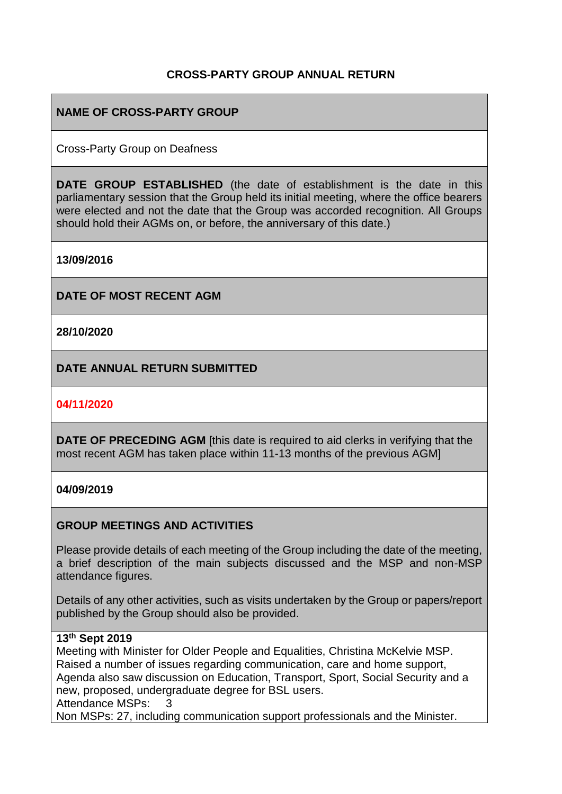## **CROSS-PARTY GROUP ANNUAL RETURN**

## **NAME OF CROSS-PARTY GROUP**

Cross-Party Group on Deafness

**DATE GROUP ESTABLISHED** (the date of establishment is the date in this parliamentary session that the Group held its initial meeting, where the office bearers were elected and not the date that the Group was accorded recognition. All Groups should hold their AGMs on, or before, the anniversary of this date.)

**13/09/2016**

**DATE OF MOST RECENT AGM**

**28/10/2020**

**DATE ANNUAL RETURN SUBMITTED**

#### **04/11/2020**

**DATE OF PRECEDING AGM** [this date is required to aid clerks in verifying that the most recent AGM has taken place within 11-13 months of the previous AGM]

#### **04/09/2019**

## **GROUP MEETINGS AND ACTIVITIES**

Please provide details of each meeting of the Group including the date of the meeting, a brief description of the main subjects discussed and the MSP and non-MSP attendance figures.

Details of any other activities, such as visits undertaken by the Group or papers/report published by the Group should also be provided.

## **13th Sept 2019**

Meeting with Minister for Older People and Equalities, Christina McKelvie MSP. Raised a number of issues regarding communication, care and home support, Agenda also saw discussion on Education, Transport, Sport, Social Security and a new, proposed, undergraduate degree for BSL users. Attendance MSPs: 3 Non MSPs: 27, including communication support professionals and the Minister.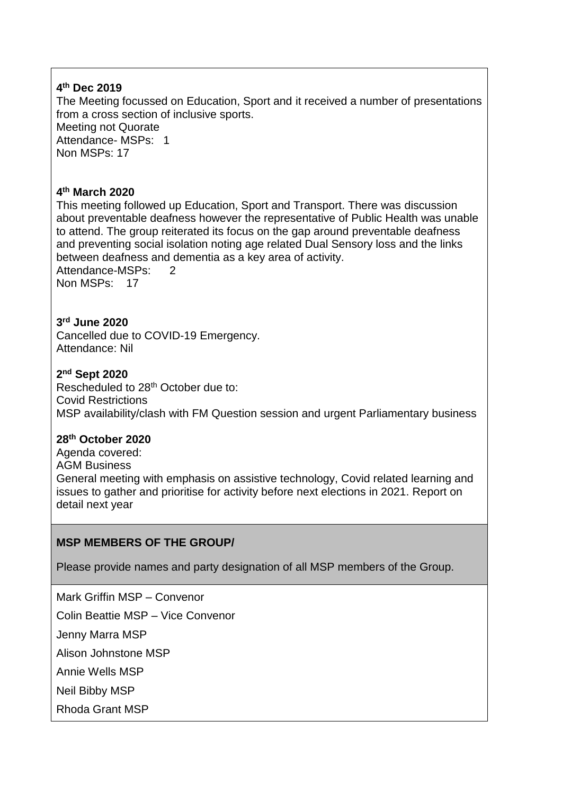### **4 th Dec 2019**

The Meeting focussed on Education, Sport and it received a number of presentations from a cross section of inclusive sports. Meeting not Quorate Attendance- MSPs: 1 Non MSPs: 17

## **4 th March 2020**

This meeting followed up Education, Sport and Transport. There was discussion about preventable deafness however the representative of Public Health was unable to attend. The group reiterated its focus on the gap around preventable deafness and preventing social isolation noting age related Dual Sensory loss and the links between deafness and dementia as a key area of activity.

Attendance-MSPs: 2 Non MSPs: 17

### **3 rd June 2020**

Cancelled due to COVID-19 Emergency. Attendance: Nil

### **2 nd Sept 2020**

Rescheduled to 28th October due to: Covid Restrictions MSP availability/clash with FM Question session and urgent Parliamentary business

#### **28th October 2020**

Agenda covered: AGM Business General meeting with emphasis on assistive technology, Covid related learning and issues to gather and prioritise for activity before next elections in 2021. Report on detail next year

## **MSP MEMBERS OF THE GROUP/**

Please provide names and party designation of all MSP members of the Group.

Mark Griffin MSP – Convenor

Colin Beattie MSP – Vice Convenor

Jenny Marra MSP

Alison Johnstone MSP

Annie Wells MSP

Neil Bibby MSP

Rhoda Grant MSP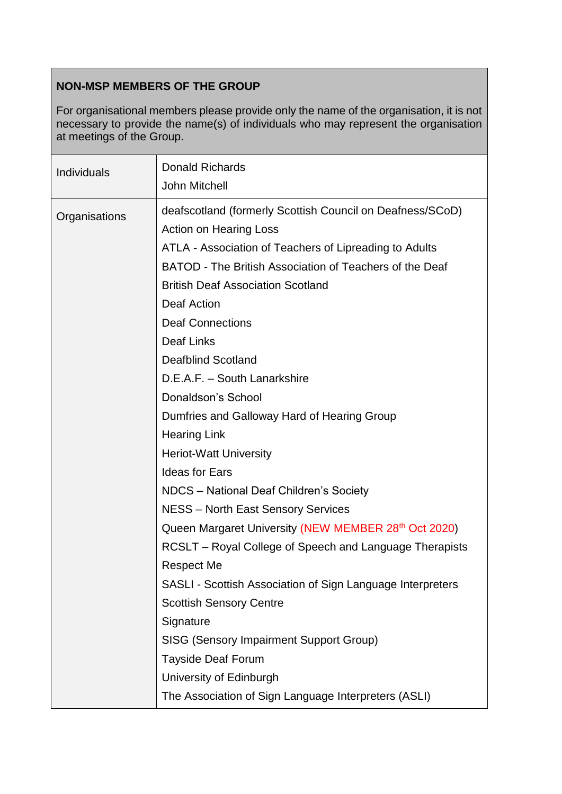# **NON-MSP MEMBERS OF THE GROUP**

For organisational members please provide only the name of the organisation, it is not necessary to provide the name(s) of individuals who may represent the organisation at meetings of the Group.

| Individuals   | <b>Donald Richards</b><br>John Mitchell                                                    |
|---------------|--------------------------------------------------------------------------------------------|
| Organisations | deafscotland (formerly Scottish Council on Deafness/SCoD)<br><b>Action on Hearing Loss</b> |
|               | ATLA - Association of Teachers of Lipreading to Adults                                     |
|               | BATOD - The British Association of Teachers of the Deaf                                    |
|               | <b>British Deaf Association Scotland</b>                                                   |
|               | <b>Deaf Action</b>                                                                         |
|               | <b>Deaf Connections</b>                                                                    |
|               | <b>Deaf Links</b>                                                                          |
|               | <b>Deafblind Scotland</b>                                                                  |
|               | D.E.A.F. - South Lanarkshire                                                               |
|               | Donaldson's School                                                                         |
|               | Dumfries and Galloway Hard of Hearing Group                                                |
|               | <b>Hearing Link</b>                                                                        |
|               | <b>Heriot-Watt University</b>                                                              |
|               | <b>Ideas for Ears</b>                                                                      |
|               | NDCS - National Deaf Children's Society                                                    |
|               | <b>NESS - North East Sensory Services</b>                                                  |
|               | Queen Margaret University (NEW MEMBER 28th Oct 2020)                                       |
|               | RCSLT – Royal College of Speech and Language Therapists                                    |
|               | <b>Respect Me</b>                                                                          |
|               | SASLI - Scottish Association of Sign Language Interpreters                                 |
|               | <b>Scottish Sensory Centre</b>                                                             |
|               | Signature                                                                                  |
|               | <b>SISG (Sensory Impairment Support Group)</b>                                             |
|               | <b>Tayside Deaf Forum</b>                                                                  |
|               | University of Edinburgh                                                                    |
|               | The Association of Sign Language Interpreters (ASLI)                                       |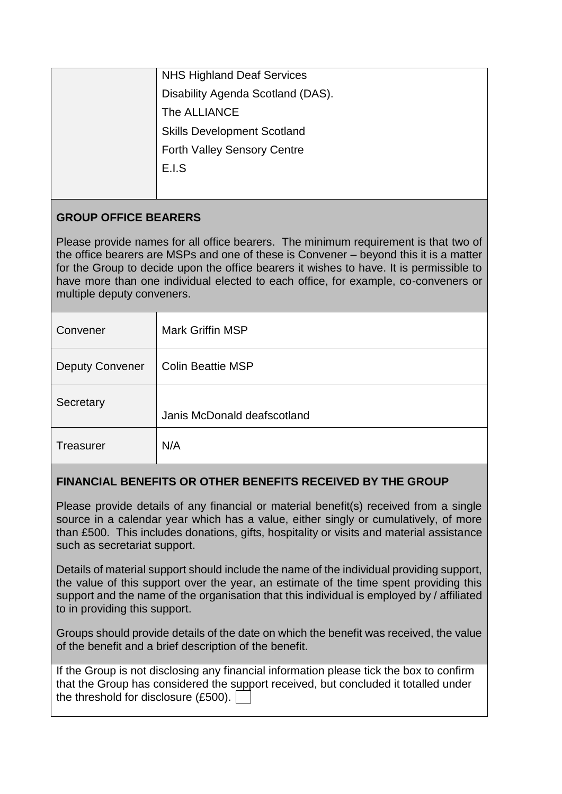| <b>NHS Highland Deaf Services</b>  |
|------------------------------------|
| Disability Agenda Scotland (DAS).  |
| The ALLIANCE                       |
| <b>Skills Development Scotland</b> |
| <b>Forth Valley Sensory Centre</b> |
| E.I.S                              |
|                                    |

# **GROUP OFFICE BEARERS**

Please provide names for all office bearers. The minimum requirement is that two of the office bearers are MSPs and one of these is Convener – beyond this it is a matter for the Group to decide upon the office bearers it wishes to have. It is permissible to have more than one individual elected to each office, for example, co-conveners or multiple deputy conveners.

| Convener               | <b>Mark Griffin MSP</b>     |
|------------------------|-----------------------------|
| <b>Deputy Convener</b> | <b>Colin Beattie MSP</b>    |
| Secretary              | Janis McDonald deafscotland |
| <b>Treasurer</b>       | N/A                         |

# **FINANCIAL BENEFITS OR OTHER BENEFITS RECEIVED BY THE GROUP**

Please provide details of any financial or material benefit(s) received from a single source in a calendar year which has a value, either singly or cumulatively, of more than £500. This includes donations, gifts, hospitality or visits and material assistance such as secretariat support.

Details of material support should include the name of the individual providing support, the value of this support over the year, an estimate of the time spent providing this support and the name of the organisation that this individual is employed by / affiliated to in providing this support.

Groups should provide details of the date on which the benefit was received, the value of the benefit and a brief description of the benefit.

If the Group is not disclosing any financial information please tick the box to confirm that the Group has considered the support received, but concluded it totalled under the threshold for disclosure (£500).